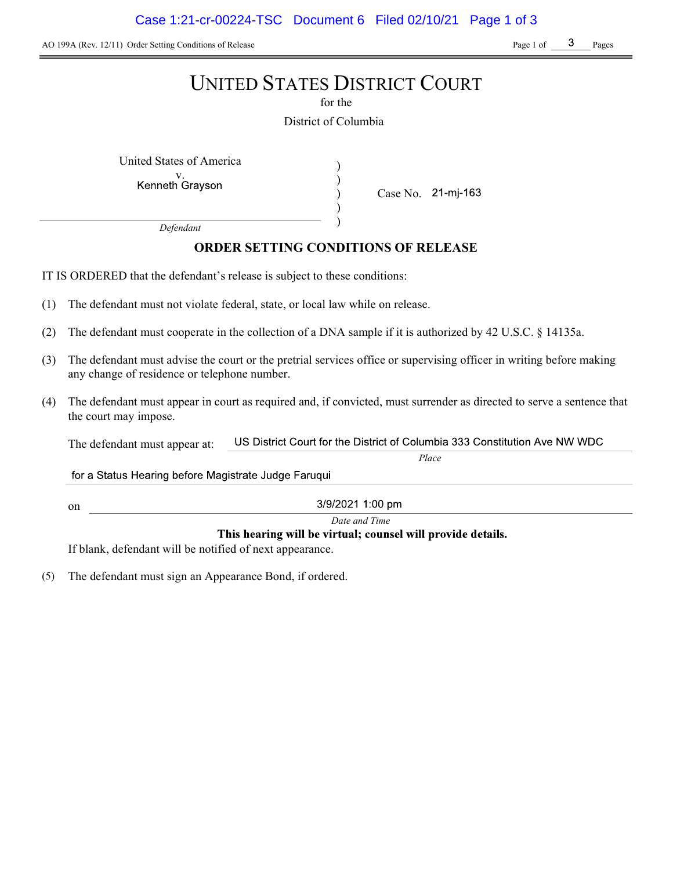AO 199A (Rev. 12/11) Order Setting Conditions of Release Page 1 of Page 1 of Page 1 of Pages

# UNITED STATES DISTRICT COURT

for the

District of Columbia

) ) ) )

United States of America (1992)

Kenneth Grayson

Case No.

Place

Defendant

# ORDER SETTING CONDITIONS OF RELEASE

IT IS ORDERED that the defendant's release is subject to these conditions:

- (1) The defendant must not violate federal, state, or local law while on release.
- (2) The defendant must cooperate in the collection of a DNA sample if it is authorized by 42 U.S.C. § 14135a.
- (3) The defendant must advise the court or the pretrial services office or supervising officer in writing before making any change of residence or telephone number.
- (4) The defendant must appear in court as required and, if convicted, must surrender as directed to serve a sentence that the court may impose.

US District Court for the District of Columbia 333 Constitution Ave NW WDC The defendant must appear at:

for a Status Hearing before Magistrate Judge Faruqui

3/9/2021 1:00 pm

Date and Time

This hearing will be virtual; counsel will provide details.

If blank, defendant will be notified of next appearance.

on

(5) The defendant must sign an Appearance Bond, if ordered.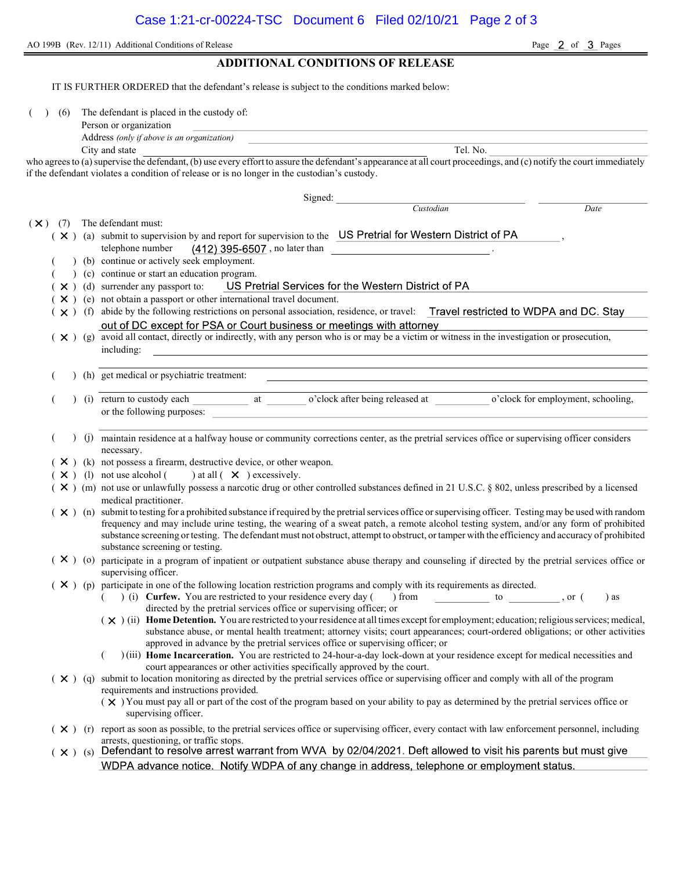AO 199B (Rev. 12/11) Additional Conditions of Release Page 2 of 3 Pages

## ADDITIONAL CONDITIONS OF RELEASE

IT IS FURTHER ORDERED that the defendant's release is subject to the conditions marked below:

( ) (6) The defendant is placed in the custody of:

| Person or organization |  |
|------------------------|--|
|                        |  |

Address (only if above is an organization) City and state Tel. No.

who agrees to (a) supervise the defendant, (b) use every effort to assure the defendant's appearance at all court proceedings, and (c) notify the court immediately if the defendant violates a condition of release or is no longer in the custodian's custody.

|                |                                                                                                                                                                                                                                                                                                       |     |                                                                                                                                                                                   | Signed:                                                                                                                                                                                          |                                                                                                                                 |      |  |  |
|----------------|-------------------------------------------------------------------------------------------------------------------------------------------------------------------------------------------------------------------------------------------------------------------------------------------------------|-----|-----------------------------------------------------------------------------------------------------------------------------------------------------------------------------------|--------------------------------------------------------------------------------------------------------------------------------------------------------------------------------------------------|---------------------------------------------------------------------------------------------------------------------------------|------|--|--|
|                |                                                                                                                                                                                                                                                                                                       |     |                                                                                                                                                                                   |                                                                                                                                                                                                  | Custodian                                                                                                                       | Date |  |  |
| $(\mathsf{X})$ |                                                                                                                                                                                                                                                                                                       | (7) |                                                                                                                                                                                   | The defendant must:                                                                                                                                                                              |                                                                                                                                 |      |  |  |
|                |                                                                                                                                                                                                                                                                                                       |     |                                                                                                                                                                                   | ( X ) (a) submit to supervision by and report for supervision to the US Pretrial for Western District of PA                                                                                      |                                                                                                                                 |      |  |  |
|                |                                                                                                                                                                                                                                                                                                       |     |                                                                                                                                                                                   | telephone number<br>$(412)$ 395-6507, no later than $\qquad \qquad$ .                                                                                                                            |                                                                                                                                 |      |  |  |
|                |                                                                                                                                                                                                                                                                                                       |     |                                                                                                                                                                                   | (b) continue or actively seek employment.                                                                                                                                                        |                                                                                                                                 |      |  |  |
|                |                                                                                                                                                                                                                                                                                                       |     |                                                                                                                                                                                   | (c) continue or start an education program.                                                                                                                                                      |                                                                                                                                 |      |  |  |
|                |                                                                                                                                                                                                                                                                                                       |     |                                                                                                                                                                                   | (X) (d) surrender any passport to: US Pretrial Services for the Western District of PA                                                                                                           |                                                                                                                                 |      |  |  |
|                |                                                                                                                                                                                                                                                                                                       |     | $(X)$ (e) not obtain a passport or other international travel document.                                                                                                           |                                                                                                                                                                                                  |                                                                                                                                 |      |  |  |
|                | (x) (f) abide by the following restrictions on personal association, residence, or travel: Travel restricted to WDPA and DC. Stay                                                                                                                                                                     |     |                                                                                                                                                                                   |                                                                                                                                                                                                  |                                                                                                                                 |      |  |  |
|                | out of DC except for PSA or Court business or meetings with attorney<br>out of DC except for PSA or Court business or meetings with attorney<br>( $\times$ ) (g) avoid all contact, directly or indirectly, with any person who is or may be a victim or witness in the investigation or prosecution, |     |                                                                                                                                                                                   |                                                                                                                                                                                                  |                                                                                                                                 |      |  |  |
|                |                                                                                                                                                                                                                                                                                                       |     |                                                                                                                                                                                   |                                                                                                                                                                                                  |                                                                                                                                 |      |  |  |
|                | including:<br><u> 1989 - Johann Stoff, amerikansk politiker (* 1908)</u>                                                                                                                                                                                                                              |     |                                                                                                                                                                                   |                                                                                                                                                                                                  |                                                                                                                                 |      |  |  |
|                |                                                                                                                                                                                                                                                                                                       |     |                                                                                                                                                                                   | (h) get medical or psychiatric treatment:                                                                                                                                                        |                                                                                                                                 |      |  |  |
|                |                                                                                                                                                                                                                                                                                                       |     |                                                                                                                                                                                   |                                                                                                                                                                                                  |                                                                                                                                 |      |  |  |
|                |                                                                                                                                                                                                                                                                                                       |     |                                                                                                                                                                                   | or the following purposes:                                                                                                                                                                       |                                                                                                                                 |      |  |  |
|                |                                                                                                                                                                                                                                                                                                       |     |                                                                                                                                                                                   | (j) maintain residence at a halfway house or community corrections center, as the pretrial services office or supervising officer considers                                                      |                                                                                                                                 |      |  |  |
|                |                                                                                                                                                                                                                                                                                                       |     |                                                                                                                                                                                   | necessary.                                                                                                                                                                                       |                                                                                                                                 |      |  |  |
|                |                                                                                                                                                                                                                                                                                                       |     |                                                                                                                                                                                   | $(X)$ (k) not possess a firearm, destructive device, or other weapon.                                                                                                                            |                                                                                                                                 |      |  |  |
|                |                                                                                                                                                                                                                                                                                                       |     |                                                                                                                                                                                   | $(X)$ (1) not use alcohol ( ) at all $(X)$ excessively.                                                                                                                                          |                                                                                                                                 |      |  |  |
|                |                                                                                                                                                                                                                                                                                                       |     |                                                                                                                                                                                   | ( × ) (m) not use or unlawfully possess a narcotic drug or other controlled substances defined in 21 U.S.C. § 802, unless prescribed by a licensed<br>medical practitioner.                      |                                                                                                                                 |      |  |  |
|                | $(X)$ (n) submit to testing for a prohibited substance if required by the pretrial services office or supervising officer. Testing may be used with random                                                                                                                                            |     |                                                                                                                                                                                   |                                                                                                                                                                                                  |                                                                                                                                 |      |  |  |
|                |                                                                                                                                                                                                                                                                                                       |     | frequency and may include urine testing, the wearing of a sweat patch, a remote alcohol testing system, and/or any form of prohibited                                             |                                                                                                                                                                                                  |                                                                                                                                 |      |  |  |
|                |                                                                                                                                                                                                                                                                                                       |     | substance screening or testing. The defendant must not obstruct, attempt to obstruct, or tamper with the efficiency and accuracy of prohibited<br>substance screening or testing. |                                                                                                                                                                                                  |                                                                                                                                 |      |  |  |
|                |                                                                                                                                                                                                                                                                                                       |     | $(X)$ (o)                                                                                                                                                                         |                                                                                                                                                                                                  |                                                                                                                                 |      |  |  |
|                |                                                                                                                                                                                                                                                                                                       |     |                                                                                                                                                                                   | participate in a program of inpatient or outpatient substance abuse therapy and counseling if directed by the pretrial services office or<br>supervising officer.                                |                                                                                                                                 |      |  |  |
|                |                                                                                                                                                                                                                                                                                                       |     |                                                                                                                                                                                   | $(X)$ (p) participate in one of the following location restriction programs and comply with its requirements as directed.                                                                        |                                                                                                                                 |      |  |  |
|                | $($ $)$ (i) <b>Curfew.</b> You are restricted to your residence every day () from $\qquad \qquad$ to $\qquad \qquad$ , or (<br>) as                                                                                                                                                                   |     |                                                                                                                                                                                   |                                                                                                                                                                                                  |                                                                                                                                 |      |  |  |
|                |                                                                                                                                                                                                                                                                                                       |     |                                                                                                                                                                                   | directed by the pretrial services office or supervising officer; or                                                                                                                              |                                                                                                                                 |      |  |  |
|                |                                                                                                                                                                                                                                                                                                       |     |                                                                                                                                                                                   | (X) (ii) Home Detention. You are restricted to your residence at all times except for employment; education; religious services; medical,                                                        |                                                                                                                                 |      |  |  |
|                |                                                                                                                                                                                                                                                                                                       |     |                                                                                                                                                                                   | approved in advance by the pretrial services office or supervising officer; or                                                                                                                   | substance abuse, or mental health treatment; attorney visits; court appearances; court-ordered obligations; or other activities |      |  |  |
|                |                                                                                                                                                                                                                                                                                                       |     |                                                                                                                                                                                   | )(iii) Home Incarceration. You are restricted to 24-hour-a-day lock-down at your residence except for medical necessities and                                                                    |                                                                                                                                 |      |  |  |
|                |                                                                                                                                                                                                                                                                                                       |     |                                                                                                                                                                                   | court appearances or other activities specifically approved by the court.                                                                                                                        |                                                                                                                                 |      |  |  |
|                |                                                                                                                                                                                                                                                                                                       |     |                                                                                                                                                                                   | $(\times)$ (q) submit to location monitoring as directed by the pretrial services office or supervising officer and comply with all of the program                                               |                                                                                                                                 |      |  |  |
|                |                                                                                                                                                                                                                                                                                                       |     |                                                                                                                                                                                   | requirements and instructions provided.                                                                                                                                                          |                                                                                                                                 |      |  |  |
|                |                                                                                                                                                                                                                                                                                                       |     |                                                                                                                                                                                   | $(\times)$ You must pay all or part of the cost of the program based on your ability to pay as determined by the pretrial services office or<br>supervising officer.                             |                                                                                                                                 |      |  |  |
|                |                                                                                                                                                                                                                                                                                                       |     |                                                                                                                                                                                   |                                                                                                                                                                                                  |                                                                                                                                 |      |  |  |
|                |                                                                                                                                                                                                                                                                                                       |     |                                                                                                                                                                                   | ( × ) (r) report as soon as possible, to the pretrial services office or supervising officer, every contact with law enforcement personnel, including<br>arrests, questioning, or traffic stops. |                                                                                                                                 |      |  |  |
|                |                                                                                                                                                                                                                                                                                                       |     |                                                                                                                                                                                   | $(x)$ (s) Defendant to resolve arrest warrant from WVA by 02/04/2021. Deft allowed to visit his parents but must give                                                                            |                                                                                                                                 |      |  |  |
|                |                                                                                                                                                                                                                                                                                                       |     |                                                                                                                                                                                   | WDPA advance notice. Notify WDPA of any change in address, telephone or employment status.                                                                                                       |                                                                                                                                 |      |  |  |
|                |                                                                                                                                                                                                                                                                                                       |     |                                                                                                                                                                                   |                                                                                                                                                                                                  |                                                                                                                                 |      |  |  |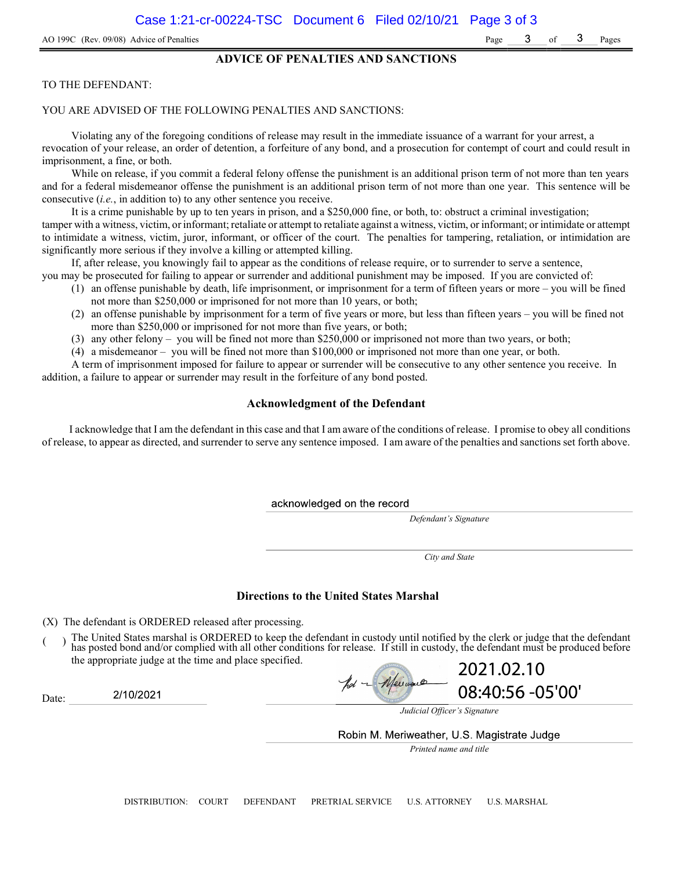### ADVICE OF PENALTIES AND SANCTIONS

#### TO THE DEFENDANT:

#### YOU ARE ADVISED OF THE FOLLOWING PENALTIES AND SANCTIONS:

Violating any of the foregoing conditions of release may result in the immediate issuance of a warrant for your arrest, a revocation of your release, an order of detention, a forfeiture of any bond, and a prosecution for contempt of court and could result in imprisonment, a fine, or both.

While on release, if you commit a federal felony offense the punishment is an additional prison term of not more than ten years and for a federal misdemeanor offense the punishment is an additional prison term of not more than one year. This sentence will be consecutive (i.e., in addition to) to any other sentence you receive.

It is a crime punishable by up to ten years in prison, and a \$250,000 fine, or both, to: obstruct a criminal investigation; tamper with a witness, victim, or informant; retaliate or attempt to retaliate against a witness, victim, or informant; or intimidate or attempt to intimidate a witness, victim, juror, informant, or officer of the court. The penalties for tampering, retaliation, or intimidation are significantly more serious if they involve a killing or attempted killing.

If, after release, you knowingly fail to appear as the conditions of release require, or to surrender to serve a sentence,

- you may be prosecuted for failing to appear or surrender and additional punishment may be imposed. If you are convicted of: (1) an offense punishable by death, life imprisonment, or imprisonment for a term of fifteen years or more – you will be fined
	- not more than \$250,000 or imprisoned for not more than 10 years, or both;
	- (2) an offense punishable by imprisonment for a term of five years or more, but less than fifteen years you will be fined not more than \$250,000 or imprisoned for not more than five years, or both;
	- (3) any other felony you will be fined not more than \$250,000 or imprisoned not more than two years, or both;
	- (4) a misdemeanor you will be fined not more than \$100,000 or imprisoned not more than one year, or both.

A term of imprisonment imposed for failure to appear or surrender will be consecutive to any other sentence you receive. In addition, a failure to appear or surrender may result in the forfeiture of any bond posted.

### Acknowledgment of the Defendant

I acknowledge that I am the defendant in this case and that I am aware of the conditions of release. I promise to obey all conditions of release, to appear as directed, and surrender to serve any sentence imposed. I am aware of the penalties and sanctions set forth above.

acknowledged on the record

Defendant's Signature

City and State

#### Directions to the United States Marshal

(X) The defendant is ORDERED released after processing.

2/10/2021

Date:

The United States marshal is ORDERED to keep the defendant in custody until notified by the clerk or judge that the defendant has posted bond and/or complied with all other conditions for release. If still in custody, the defendant must be produced before the appropriate judge at the time and place specified.

2021.02.10 Meuveu 08:40:56 -05'00'

Judicial Officer's Signature

Robin M. Meriweather, U.S. Magistrate Judge

Printed name and title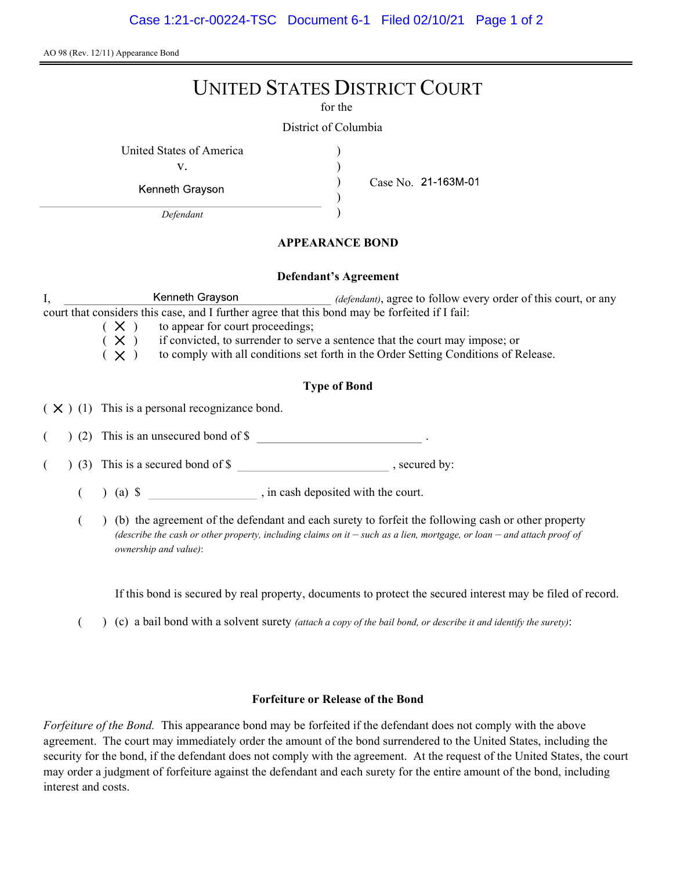AO 98 (Rev. 12/11) Appearance Bond

# UNITED STATES DISTRICT COURT

for the

) ) ) )

District of Columbia

United States of America (1996)

v.

Kenneth Grayson

Defendant

Case No.

# APPEARANCE BOND

## Defendant's Agreement

I, Kenneth Grayson *(defendant)*, agree to follow every order of this court, or any court that considers this case, and I further agree that this bond may be forfeited if I fail:

 $(X)$  to appear for court proceedings;<br> $(X)$  if convicted, to surrender to serv

 $(X)$  if convicted, to surrender to serve a sentence that the court may impose; or  $(X)$  to comply with all conditions set forth in the Order Setting Conditions of R

to comply with all conditions set forth in the Order Setting Conditions of Release.

# Type of Bond

 $(X)$  (1) This is a personal recognizance bond.

(2) This is an unsecured bond of \$

 $($   $)$  (3) This is a secured bond of \$, secured by:

 $($  ) (a)  $\$  , in cash deposited with the court.

( ) (b) the agreement of the defendant and each surety to forfeit the following cash or other property (describe the cash or other property, including claims on it  $-$  such as a lien, mortgage, or loan  $-$  and attach proof of ownership and value):

If this bond is secured by real property, documents to protect the secured interest may be filed of record.

( $\)$  (c) a bail bond with a solvent surety *(attach a copy of the bail bond, or describe it and identify the surety)*:

# Forfeiture or Release of the Bond

Forfeiture of the Bond. This appearance bond may be forfeited if the defendant does not comply with the above agreement. The court may immediately order the amount of the bond surrendered to the United States, including the security for the bond, if the defendant does not comply with the agreement. At the request of the United States, the court may order a judgment of forfeiture against the defendant and each surety for the entire amount of the bond, including interest and costs.